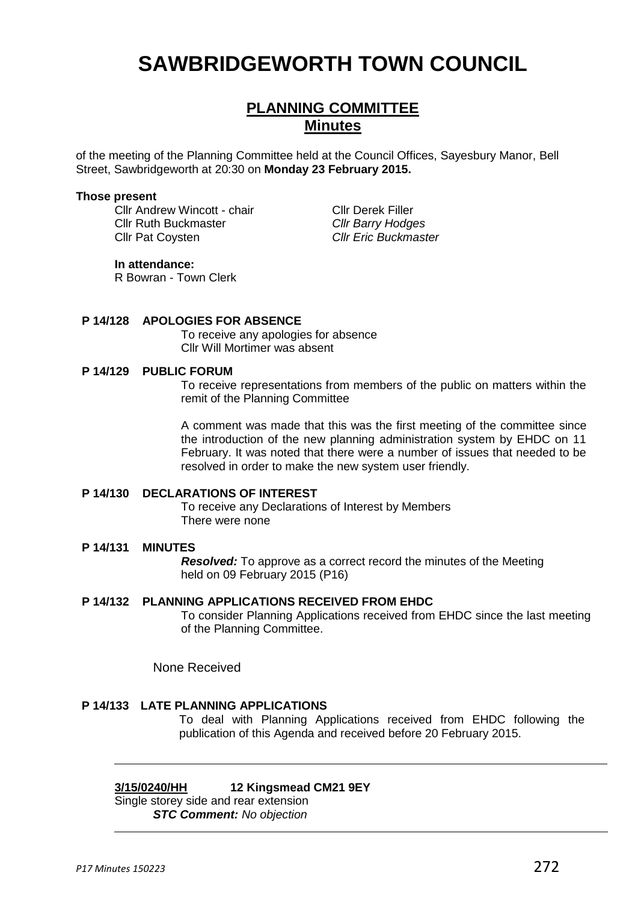# **SAWBRIDGEWORTH TOWN COUNCIL**

# **PLANNING COMMITTEE Minutes**

of the meeting of the Planning Committee held at the Council Offices, Sayesbury Manor, Bell Street, Sawbridgeworth at 20:30 on **Monday 23 February 2015.**

#### **Those present**

Cllr Andrew Wincott - chair Cllr Derek Filler Cllr Ruth Buckmaster *Cllr Barry Hodges* Cllr Pat Coysten *Cllr Eric Buckmaster*

#### **In attendance:**

R Bowran - Town Clerk

#### **P 14/128 APOLOGIES FOR ABSENCE**

To receive any apologies for absence Cllr Will Mortimer was absent

# **P 14/129 PUBLIC FORUM**

To receive representations from members of the public on matters within the remit of the Planning Committee

A comment was made that this was the first meeting of the committee since the introduction of the new planning administration system by EHDC on 11 February. It was noted that there were a number of issues that needed to be resolved in order to make the new system user friendly.

# **P 14/130 DECLARATIONS OF INTEREST**

To receive any Declarations of Interest by Members There were none

# **P 14/131 MINUTES**

*Resolved:* To approve as a correct record the minutes of the Meeting held on 09 February 2015 (P16)

# **P 14/132 PLANNING APPLICATIONS RECEIVED FROM EHDC**

To consider Planning Applications received from EHDC since the last meeting of the Planning Committee.

None Received

# **P 14/133 LATE PLANNING APPLICATIONS**

To deal with Planning Applications received from EHDC following the publication of this Agenda and received before 20 February 2015.

#### **3/15/0240/HH 12 Kingsmead CM21 9EY**

Single storey side and rear extension *STC Comment: No objection*